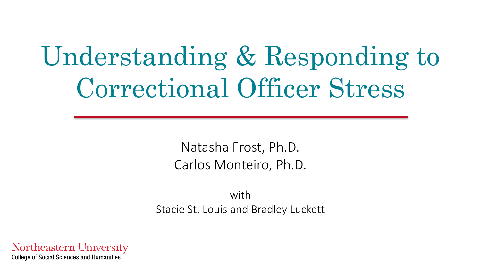# Understanding & Responding to Correctional Officer Stress

Natasha Frost, Ph.D. Carlos Monteiro, Ph.D.

with Stacie St. Louis and Bradley Luckett

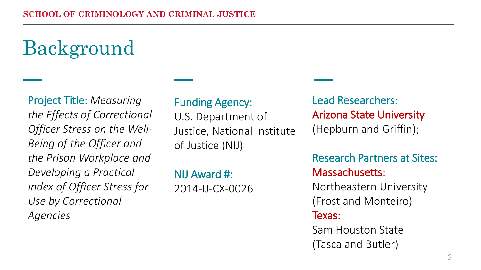## **Background**

Project Title: *Measuring the Effects of Correctional Officer Stress on the Well-Being of the Officer and the Prison Workplace and Developing a Practical Index of Officer Stress for Use by Correctional Agencies*

#### Funding Agency:

U.S. Department of Justice, National Institute of Justice (NIJ)

NIJ Award #: 2014-IJ-CX-0026

Lead Researchers: Arizona State University (Hepburn and Griffin);

Research Partners at Sites: Massachusetts:

Northeastern University (Frost and Monteiro)

#### Texas:

Sam Houston State (Tasca and Butler)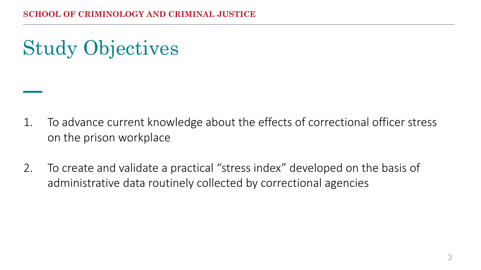Study Objectives

- 1. To advance current knowledge about the effects of correctional officer stress on the prison workplace
- 2. To create and validate a practical "stress index" developed on the basis of administrative data routinely collected by correctional agencies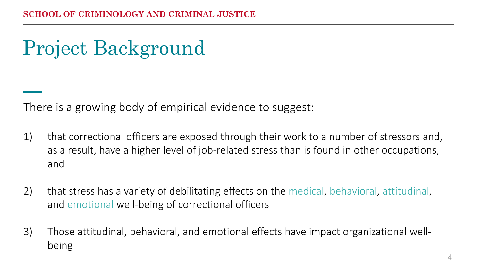## Project Background

There is a growing body of empirical evidence to suggest:

- 1) that correctional officers are exposed through their work to a number of stressors and, as a result, have a higher level of job-related stress than is found in other occupations, and
- 2) that stress has a variety of debilitating effects on the medical, behavioral, attitudinal, and emotional well-being of correctional officers
- 3) Those attitudinal, behavioral, and emotional effects have impact organizational wellbeing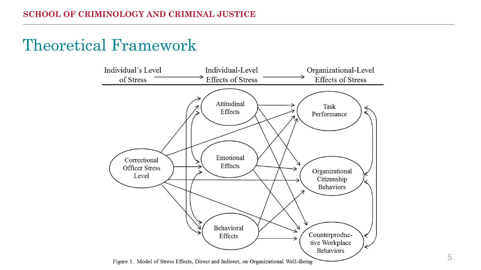### Theoretical Framework

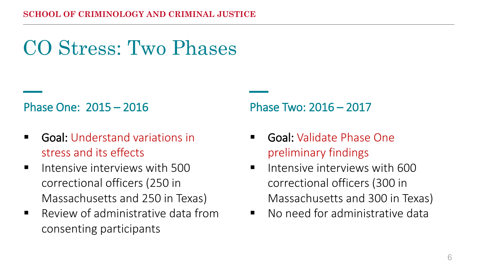## CO Stress: Two Phases

#### Phase One: 2015 – 2016

- **Goal:** Understand variations in stress and its effects
- **Intensive interviews with 500** correctional officers (250 in Massachusetts and 250 in Texas)
- **Review of administrative data from** consenting participants

#### Phase Two: 2016 – 2017

- Goal: Validate Phase One preliminary findings
- $\blacksquare$  Intensive interviews with 600 correctional officers (300 in Massachusetts and 300 in Texas)
- **No need for administrative data**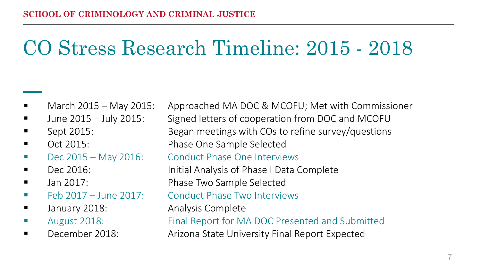## CO Stress Research Timeline: 2015 - 2018

- 
- 
- 
- 
- 
- 
- 
- 
- 
- 
- 

 March 2015 – May 2015: Approached MA DOC & MCOFU; Met with Commissioner ■ June 2015 – July 2015: Signed letters of cooperation from DOC and MCOFU Sept 2015: Began meetings with COs to refine survey/questions Oct 2015: Phase One Sample Selected ■ Dec 2015 – May 2016: Conduct Phase One Interviews Dec 2016: Initial Analysis of Phase I Data Complete Jan 2017: Phase Two Sample Selected ■ Feb 2017 – June 2017: Conduct Phase Two Interviews **The Standary 2018:** Analysis Complete August 2018: Final Report for MA DOC Presented and Submitted December 2018: Arizona State University Final Report Expected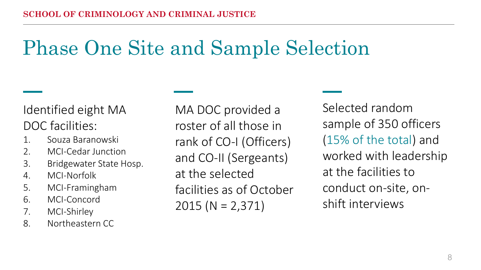## Phase One Site and Sample Selection

Identified eight MA DOC facilities:

- 1. Souza Baranowski
- 2. MCI-Cedar Junction
- 3. Bridgewater State Hosp.
- 4. MCI-Norfolk
- 5. MCI-Framingham
- 6. MCI-Concord
- 7. MCI-Shirley
- 8. Northeastern CC

MA DOC provided a roster of all those in rank of CO-I (Officers) and CO-II (Sergeants) at the selected facilities as of October 2015 (N = 2,371)

Selected random sample of 350 officers (15% of the total) and worked with leadership at the facilities to conduct on-site, onshift interviews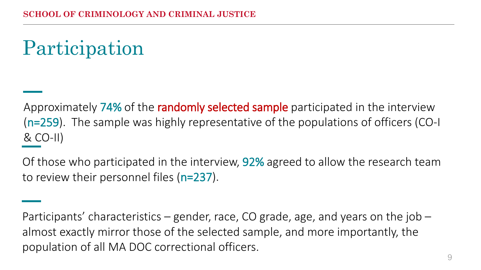## Participation

Approximately 74% of the randomly selected sample participated in the interview (n=259). The sample was highly representative of the populations of officers (CO-I & CO-II)

Of those who participated in the interview, 92% agreed to allow the research team to review their personnel files (n=237).

Participants' characteristics – gender, race, CO grade, age, and years on the job – almost exactly mirror those of the selected sample, and more importantly, the population of all MA DOC correctional officers.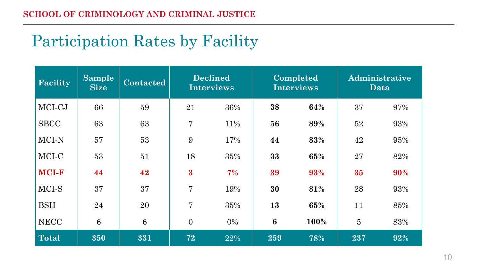### Participation Rates by Facility

| Facility     | <b>Sample</b><br><b>Size</b> | <b>Contacted</b> | <b>Declined</b><br><b>Interviews</b> |       | Completed<br><b>Interviews</b> |      | Administrative<br>Data |     |
|--------------|------------------------------|------------------|--------------------------------------|-------|--------------------------------|------|------------------------|-----|
| MCI-CJ       | 66                           | 59               | 21                                   | 36%   | 38                             | 64%  | 37                     | 97% |
| <b>SBCC</b>  | 63                           | 63               | 7                                    | 11%   | 56                             | 89%  | 52                     | 93% |
| MCI-N        | 57                           | 53               | 9                                    | 17%   | 44                             | 83%  | 42                     | 95% |
| MCI-C        | 53                           | 51               | 18                                   | 35%   | 33                             | 65%  | 27                     | 82% |
| <b>MCI-F</b> | 44                           | 42               | $\bf{3}$                             | 7%    | 39                             | 93%  | 35                     | 90% |
| MCI-S        | 37                           | 37               | 7                                    | 19%   | 30                             | 81%  | 28                     | 93% |
| <b>BSH</b>   | 24                           | 20               | 7                                    | 35%   | 13                             | 65%  | 11                     | 85% |
| <b>NECC</b>  | $\,6\,$                      | 6                | $\overline{0}$                       | $0\%$ | $\boldsymbol{6}$               | 100% | 5                      | 83% |
| <b>Total</b> | 350                          | 331              | 72                                   | 22%   | 259                            | 78%  | 237                    | 92% |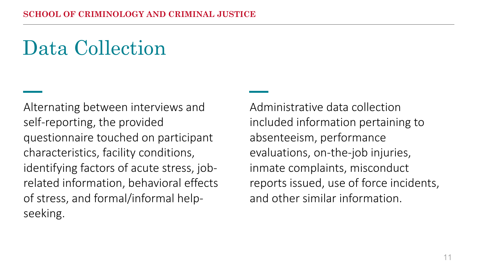## Data Collection

Alternating between interviews and self-reporting, the provided questionnaire touched on participant characteristics, facility conditions, identifying factors of acute stress, jobrelated information, behavioral effects of stress, and formal/informal helpseeking.

Administrative data collection included information pertaining to absenteeism, performance evaluations, on-the-job injuries, inmate complaints, misconduct reports issued, use of force incidents, and other similar information.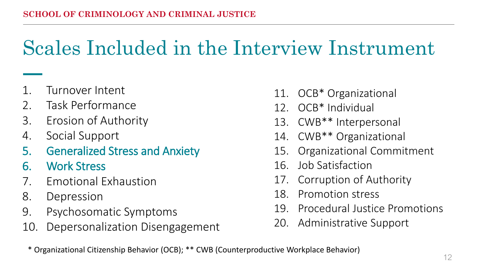### Scales Included in the Interview Instrument

- 1. Turnover Intent
- 2. Task Performance
- 3. Erosion of Authority
- 4. Social Support
- 5. Generalized Stress and Anxiety
- 6. Work Stress
- 7. Emotional Exhaustion
- 8. Depression
- 9. Psychosomatic Symptoms
- 10. Depersonalization Disengagement
- 11. OCB\* Organizational
- 12. OCB\* Individual
- 13. CWB\*\* Interpersonal
- 14. CWB\*\* Organizational
- 15. Organizational Commitment
- 16. Job Satisfaction
- 17. Corruption of Authority
- 18. Promotion stress
- 19. Procedural Justice Promotions
- 20. Administrative Support
- \* Organizational Citizenship Behavior (OCB); \*\* CWB (Counterproductive Workplace Behavior)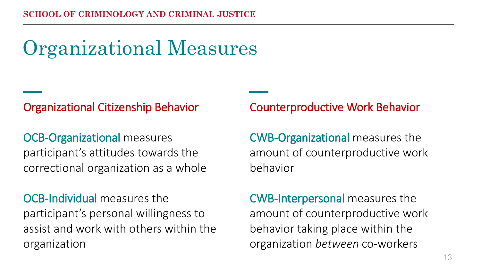## Organizational Measures

#### Organizational Citizenship Behavior

OCB-Organizational measures participant's attitudes towards the correctional organization as a whole

OCB-Individual measures the participant's personal willingness to assist and work with others within the organization

Counterproductive Work Behavior

CWB-Organizational measures the amount of counterproductive work behavior

CWB-Interpersonal measures the amount of counterproductive work behavior taking place within the organization *between* co-workers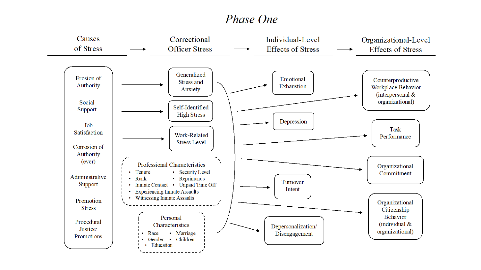#### *Phase One*

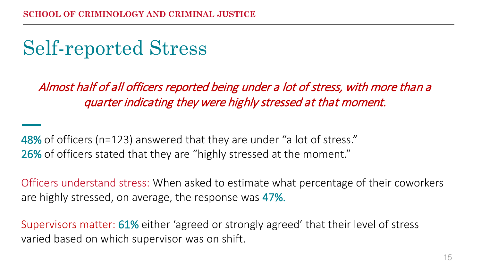## Self-reported Stress

Almost half of all officers reported being under a lot of stress, with more than a quarter indicating they were highly stressed at that moment.

48% of officers (n=123) answered that they are under "a lot of stress." 26% of officers stated that they are "highly stressed at the moment."

Officers understand stress: When asked to estimate what percentage of their coworkers are highly stressed, on average, the response was 47%.

Supervisors matter: 61% either 'agreed or strongly agreed' that their level of stress varied based on which supervisor was on shift.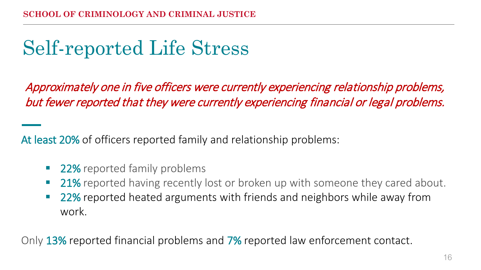## Self-reported Life Stress

Approximately one in five officers were currently experiencing relationship problems, but fewer reported that they were currently experiencing financial or legal problems.

At least 20% of officers reported family and relationship problems:

- 22% reported family problems
- **21%** reported having recently lost or broken up with someone they cared about.
- 22% reported heated arguments with friends and neighbors while away from work.

Only 13% reported financial problems and 7% reported law enforcement contact.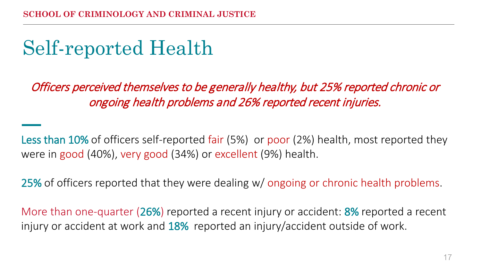## Self-reported Health

Officers perceived themselves to be generally healthy, but 25% reported chronic or ongoing health problems and 26% reported recent injuries.

Less than 10% of officers self-reported fair (5%) or poor (2%) health, most reported they were in good (40%), very good (34%) or excellent (9%) health.

25% of officers reported that they were dealing w/ ongoing or chronic health problems.

More than one-quarter (26%) reported a recent injury or accident: 8% reported a recent injury or accident at work and 18% reported an injury/accident outside of work.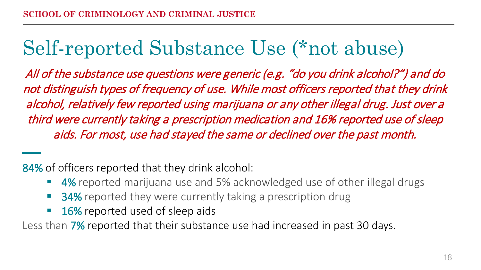### Self-reported Substance Use (\*not abuse)

All of the substance use questions were generic (e.g. "do you drink alcohol?") and do not distinguish types of frequency of use. While most officers reported that they drink alcohol, relatively few reported using marijuana or any other illegal drug. Just over a third were currently taking a prescription medication and 16% reported use of sleep aids. For most, use had stayed the same or declined over the past month.

84% of officers reported that they drink alcohol:

- 4% reported marijuana use and 5% acknowledged use of other illegal drugs
- 34% reported they were currently taking a prescription drug
- **16%** reported used of sleep aids

Less than 7% reported that their substance use had increased in past 30 days.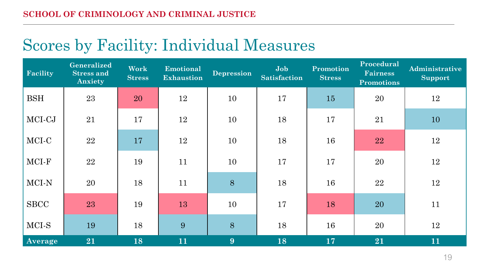### Scores by Facility: Individual Measures

| Facility    | Generalized<br><b>Stress and</b><br>Anxiety | <b>Work</b><br><b>Stress</b> | Emotional<br><b>Exhaustion</b> | <b>Depression</b> | Job<br><b>Satisfaction</b> | Promotion<br><b>Stress</b> | Procedural<br><b>Fairness</b><br><b>Promotions</b> | Administrative<br><b>Support</b> |
|-------------|---------------------------------------------|------------------------------|--------------------------------|-------------------|----------------------------|----------------------------|----------------------------------------------------|----------------------------------|
| <b>BSH</b>  | 23                                          | 20                           | 12                             | 10                | 17                         | 15                         | 20                                                 | 12                               |
| MCI-CJ      | 21                                          | 17                           | 12                             | 10                | 18                         | 17                         | 21                                                 | 10                               |
| MCI-C       | 22                                          | 17                           | 12                             | 10                | 18                         | 16                         | 22                                                 | 12                               |
| MCI-F       | 22                                          | 19                           | 11                             | 10                | 17                         | 17                         | 20                                                 | 12                               |
| MCI-N       | 20                                          | 18                           | 11                             | 8                 | 18                         | 16                         | 22                                                 | 12                               |
| <b>SBCC</b> | 23                                          | 19                           | 13                             | 10                | 17                         | 18                         | 20                                                 | 11                               |
| MCI-S       | 19                                          | 18                           | 9                              | 8                 | 18                         | 16                         | 20                                                 | 12                               |
| Average     | 21                                          | 18                           | 11                             | 9                 | 18                         | 17                         | 21                                                 | 11                               |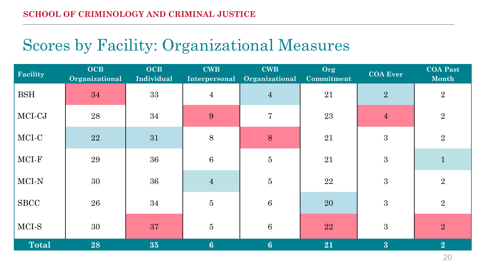### Scores by Facility: Organizational Measures

| Facility     | <b>OCB</b><br>Organizational | <b>OCB</b><br>Individual | <b>CWB</b><br>Interpersonal | <b>CWB</b><br>Organizational | Org<br>Commitment | <b>COA Ever</b> | <b>COA Past</b><br>Month |
|--------------|------------------------------|--------------------------|-----------------------------|------------------------------|-------------------|-----------------|--------------------------|
| <b>BSH</b>   | 34                           | 33                       | $\overline{4}$              | $\overline{4}$               | $21\,$            | $\overline{2}$  | $\overline{2}$           |
| MCI-CJ       | 28                           | 34                       | 9                           | $\overline{7}$               | 23                | $\overline{4}$  | $\boldsymbol{2}$         |
| MCI-C        | <b>22</b>                    | 31                       | $8\,$                       | $\, 8$                       | 21                | 3               | $\sqrt{2}$               |
| MCI-F        | 29                           | 36                       | $\,6\,$                     | $\bf 5$                      | 21                | $\overline{3}$  | $\mathbf{1}$             |
| MCI-N        | 30                           | 36                       | $\overline{4}$              | $\overline{5}$               | 22                | $\mathbf{3}$    | $\sqrt{2}$               |
| <b>SBCC</b>  | 26                           | 34                       | $\bf 5$                     | 6                            | 20                | 3               | $\sqrt{2}$               |
| MCI-S        | 30                           | 37                       | $\overline{5}$              | $6\phantom{1}6$              | 22                | 3               | $\overline{2}$           |
| <b>Total</b> | 28                           | 35                       | $6\phantom{1}$              | 6 <sup>1</sup>               | 21                | $\overline{3}$  | 2                        |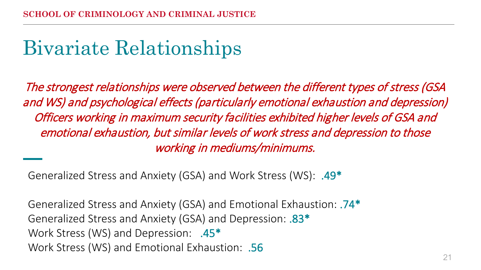## Bivariate Relationships

The strongest relationships were observed between the different types of stress (GSA and WS) and psychological effects (particularly emotional exhaustion and depression) Officers working in maximum security facilities exhibited higher levels of GSA and emotional exhaustion, but similar levels of work stress and depression to those working in mediums/minimums.

Generalized Stress and Anxiety (GSA) and Work Stress (WS): .49\*

Generalized Stress and Anxiety (GSA) and Emotional Exhaustion: .74\* Generalized Stress and Anxiety (GSA) and Depression: .83\* Work Stress (WS) and Depression: .45\* Work Stress (WS) and Emotional Exhaustion: .56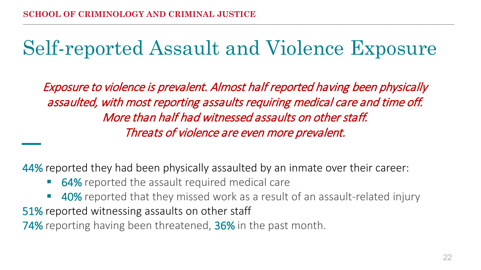### Self-reported Assault and Violence Exposure

Exposure to violence is prevalent. Almost half reported having been physically assaulted, with most reporting assaults requiring medical care and time off. More than half had witnessed assaults on other staff. Threats of violence are even more prevalent.

44% reported they had been physically assaulted by an inmate over their career:

- 64% reported the assault required medical care
- 40% reported that they missed work as a result of an assault-related injury

51% reported witnessing assaults on other staff

74% reporting having been threatened, 36% in the past month.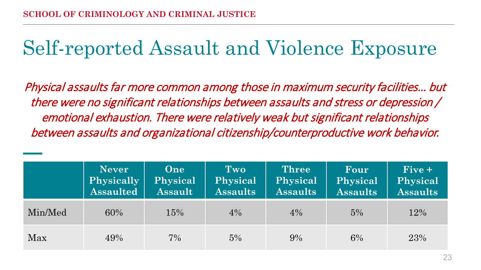### Self-reported Assault and Violence Exposure

Physical assaults far more common among those in maximum security facilities… but there were no significant relationships between assaults and stress or depression / emotional exhaustion. There were relatively weak but significant relationships between assaults and organizational citizenship/counterproductive work behavior.

|         | <b>Never</b><br><b>Physically</b><br><b>Assaulted</b> | One<br>Physical<br><b>Assault</b> | Two<br>Physical<br><b>Assaults</b> | <b>Three</b><br>Physical<br><b>Assaults</b> | Four<br>Physical<br><b>Assaults</b> | $Five +$<br>Physical<br><b>Assaults</b> |
|---------|-------------------------------------------------------|-----------------------------------|------------------------------------|---------------------------------------------|-------------------------------------|-----------------------------------------|
| Min/Med | 60%                                                   | 15%                               | 4%                                 | 4%                                          | 5%                                  | 12%                                     |
| Max     | 49%                                                   | 7%                                | 5%                                 | 9%                                          | 6%                                  | 23%                                     |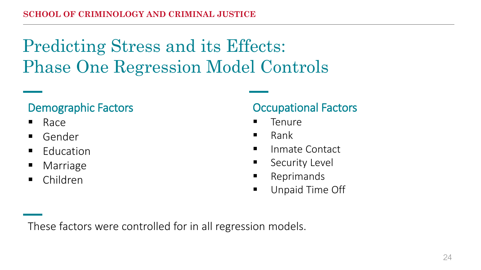### Predicting Stress and its Effects: Phase One Regression Model Controls

#### Demographic Factors

- $R^2$ Race
- Gender
- $\blacksquare$  Education
- Marriage
- Children

#### Occupational Factors

- Tenure
- $\blacksquare$  Rank
- **IDED** Inmate Contact
- **Security Level**
- **Reprimands**
- **Unpaid Time Off**

These factors were controlled for in all regression models.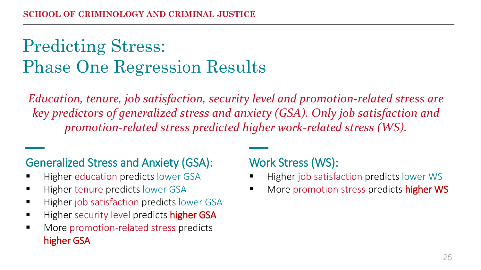### Predicting Stress: Phase One Regression Results

*Education, tenure, job satisfaction, security level and promotion-related stress are key predictors of generalized stress and anxiety (GSA). Only job satisfaction and promotion-related stress predicted higher work-related stress (WS).*

#### Generalized Stress and Anxiety (GSA):

- **Higher education predicts lower GSA**
- Higher tenure predicts lower GSA
- Higher job satisfaction predicts lower GSA
- Higher security level predicts higher GSA
- **More promotion-related stress predicts** higher GSA

#### Work Stress (WS):

- Higher job satisfaction predicts lower WS
- More promotion stress predicts higher WS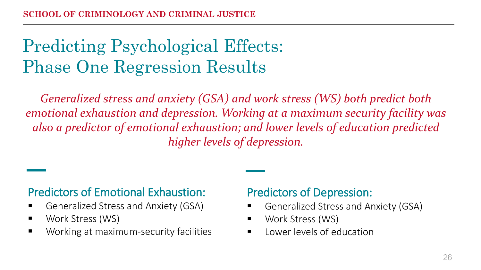### Predicting Psychological Effects: Phase One Regression Results

*Generalized stress and anxiety (GSA) and work stress (WS) both predict both emotional exhaustion and depression. Working at a maximum security facility was also a predictor of emotional exhaustion; and lower levels of education predicted higher levels of depression.*

#### Predictors of Emotional Exhaustion:

- Generalized Stress and Anxiety (GSA)
- Work Stress (WS)
- **Working at maximum-security facilities**

#### Predictors of Depression:

- Generalized Stress and Anxiety (GSA)
- Work Stress (WS)
- $\blacksquare$  Lower levels of education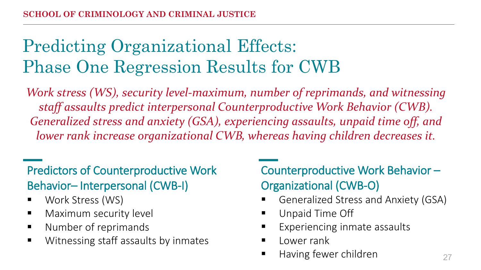### Predicting Organizational Effects: Phase One Regression Results for CWB

*Work stress (WS), security level-maximum, number of reprimands, and witnessing staff assaults predict interpersonal Counterproductive Work Behavior (CWB). Generalized stress and anxiety (GSA), experiencing assaults, unpaid time off, and lower rank increase organizational CWB, whereas having children decreases it.*

#### Predictors of Counterproductive Work Behavior– Interpersonal (CWB-I)

- **Work Stress (WS)**
- **Naximum security level**
- **Number of reprimands**
- **Witnessing staff assaults by inmates**

#### Counterproductive Work Behavior – Organizational (CWB-O)

- Generalized Stress and Anxiety (GSA)
- Unpaid Time Off
- Experiencing inmate assaults
- $\blacksquare$  Lower rank
- Having fewer children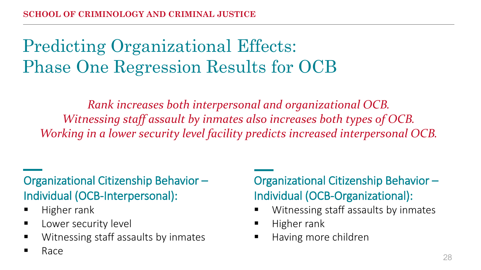### Predicting Organizational Effects: Phase One Regression Results for OCB

*Rank increases both interpersonal and organizational OCB. Witnessing staff assault by inmates also increases both types of OCB. Working in a lower security level facility predicts increased interpersonal OCB.*

#### Organizational Citizenship Behavior – Individual (OCB-Interpersonal):

 $\blacksquare$  Higher rank

Race

- **Lower security level**
- Witnessing staff assaults by inmates

#### Organizational Citizenship Behavior – Individual (OCB-Organizational):

- **Witnessing staff assaults by inmates**
- $\blacksquare$  Higher rank
- $\blacksquare$  Having more children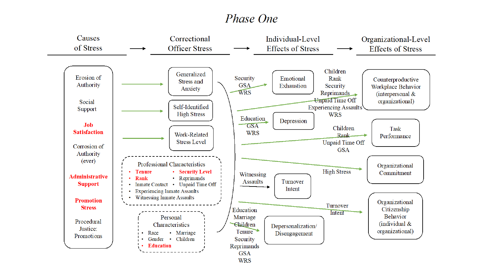#### *Phase One*

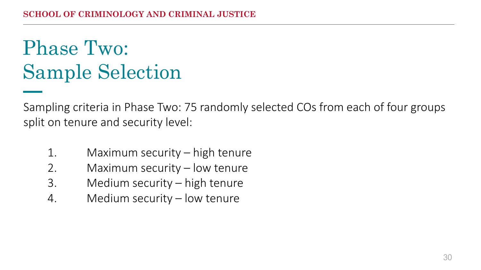## Phase Two: Sample Selection

Sampling criteria in Phase Two: 75 randomly selected COs from each of four groups split on tenure and security level:

- 1. Maximum security high tenure
- 2. Maximum security low tenure
- 3. Medium security high tenure
- 4. Medium security low tenure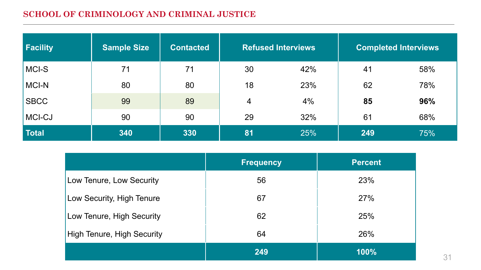#### **SCHOOL OF CRIMINOLOGY AND CRIMINAL JUSTICE**

| <b>Facility</b> | <b>Sample Size</b> | <b>Contacted</b> | <b>Refused Interviews</b> |     | <b>Completed Interviews</b> |     |
|-----------------|--------------------|------------------|---------------------------|-----|-----------------------------|-----|
| MCI-S           | 71                 | 71               | 30                        | 42% | 41                          | 58% |
| MCI-N           | 80                 | 80               | 18                        | 23% | 62                          | 78% |
| <b>SBCC</b>     | 99                 | 89               | 4                         | 4%  | 85                          | 96% |
| MCI-CJ          | 90                 | 90               | 29                        | 32% | 61                          | 68% |
| <b>Total</b>    | 340                | 330              | 81                        | 25% | 249                         | 75% |

|                                   | <b>Frequency</b> | <b>Percent</b> |  |
|-----------------------------------|------------------|----------------|--|
| Low Tenure, Low Security          | 56               | 23%            |  |
| Low Security, High Tenure         | 67               | 27%            |  |
| Low Tenure, High Security         | 62               | 25%            |  |
| <b>High Tenure, High Security</b> | 64               | 26%            |  |
|                                   | 249              | 100%           |  |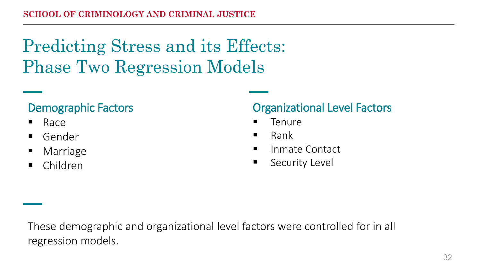### Predicting Stress and its Effects: Phase Two Regression Models

#### Demographic Factors

- $R^2$ Race
- Gender
- Marriage
- Children

#### Organizational Level Factors

- Tenure
- $\blacksquare$  Rank
- **IDED** Inmate Contact
- **Security Level**

These demographic and organizational level factors were controlled for in all regression models.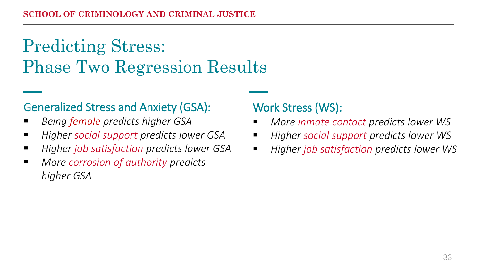### Predicting Stress: Phase Two Regression Results

#### Generalized Stress and Anxiety (GSA):

- *Being female predicts higher GSA*
- *Higher social support predicts lower GSA*
- *Higher job satisfaction predicts lower GSA*
- *More corrosion of authority predicts higher GSA*

#### Work Stress (WS):

- *More inmate contact predicts lower WS*
- *Higher social support predicts lower WS*
- *Higher job satisfaction predicts lower WS*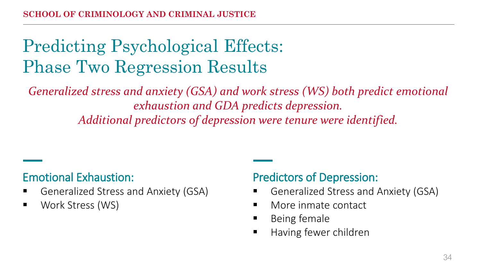### Predicting Psychological Effects: Phase Two Regression Results

*Generalized stress and anxiety (GSA) and work stress (WS) both predict emotional exhaustion and GDA predicts depression. Additional predictors of depression were tenure were identified.* 

#### Emotional Exhaustion:

- Generalized Stress and Anxiety (GSA)
- Work Stress (WS)

#### Predictors of Depression:

- Generalized Stress and Anxiety (GSA)
- More inmate contact
- $\blacksquare$  Being female
- Having fewer children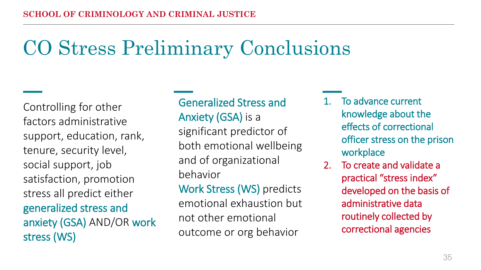## CO Stress Preliminary Conclusions

Controlling for other factors administrative support, education, rank, tenure, security level, social support, job satisfaction, promotion stress all predict either generalized stress and anxiety (GSA) AND/OR work stress (WS)

Generalized Stress and Anxiety (GSA) is a significant predictor of both emotional wellbeing and of organizational behavior Work Stress (WS) predicts emotional exhaustion but not other emotional outcome or org behavior

- 1. To advance current knowledge about the effects of correctional officer stress on the prison workplace
- 2. To create and validate a practical "stress index" developed on the basis of administrative data routinely collected by correctional agencies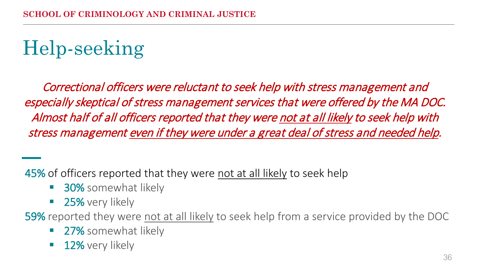## Help-seeking

Correctional officers were reluctant to seek help with stress management and especially skeptical of stress management services that were offered by the MA DOC. Almost half of all officers reported that they were not at all likely to seek help with stress management even if they were under a great deal of stress and needed help.

45% of officers reported that they were not at all likely to seek help

- **30%** somewhat likely
- **25%** very likely

59% reported they were not at all likely to seek help from a service provided by the DOC

- **27%** somewhat likely
- **12%** very likely